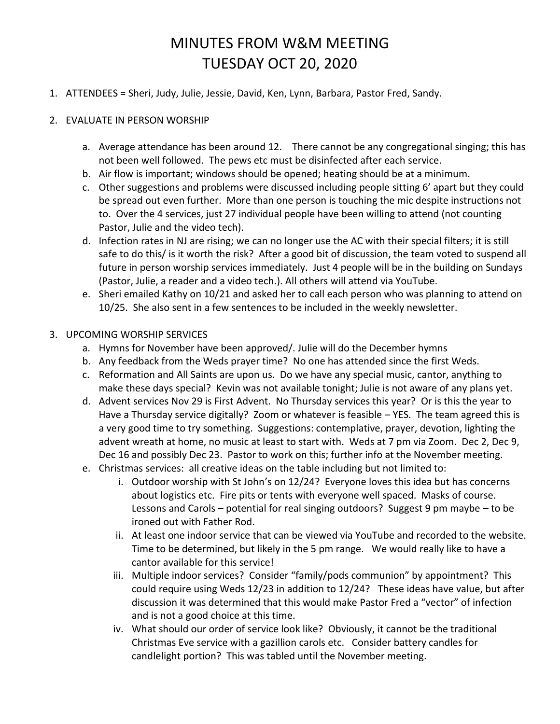## MINUTES FROM W&M MEETING TUESDAY OCT 20, 2020

- 1. ATTENDEES = Sheri, Judy, Julie, Jessie, David, Ken, Lynn, Barbara, Pastor Fred, Sandy.
- 2. EVALUATE IN PERSON WORSHIP
	- a. Average attendance has been around 12. There cannot be any congregational singing; this has not been well followed. The pews etc must be disinfected after each service.
	- b. Air flow is important; windows should be opened; heating should be at a minimum.
	- c. Other suggestions and problems were discussed including people sitting 6' apart but they could be spread out even further. More than one person is touching the mic despite instructions not to. Over the 4 services, just 27 individual people have been willing to attend (not counting Pastor, Julie and the video tech).
	- d. Infection rates in NJ are rising; we can no longer use the AC with their special filters; it is still safe to do this/ is it worth the risk? After a good bit of discussion, the team voted to suspend all future in person worship services immediately. Just 4 people will be in the building on Sundays (Pastor, Julie, a reader and a video tech.). All others will attend via YouTube.
	- e. Sheri emailed Kathy on 10/21 and asked her to call each person who was planning to attend on 10/25. She also sent in a few sentences to be included in the weekly newsletter.

## 3. UPCOMING WORSHIP SERVICES

- a. Hymns for November have been approved/. Julie will do the December hymns
- b. Any feedback from the Weds prayer time? No one has attended since the first Weds.
- c. Reformation and All Saints are upon us. Do we have any special music, cantor, anything to make these days special? Kevin was not available tonight; Julie is not aware of any plans yet.
- d. Advent services Nov 29 is First Advent. No Thursday services this year? Or is this the year to Have a Thursday service digitally? Zoom or whatever is feasible – YES. The team agreed this is a very good time to try something. Suggestions: contemplative, prayer, devotion, lighting the advent wreath at home, no music at least to start with. Weds at 7 pm via Zoom. Dec 2, Dec 9, Dec 16 and possibly Dec 23. Pastor to work on this; further info at the November meeting.
- e. Christmas services: all creative ideas on the table including but not limited to:
	- i. Outdoor worship with St John's on 12/24? Everyone loves this idea but has concerns about logistics etc. Fire pits or tents with everyone well spaced. Masks of course. Lessons and Carols – potential for real singing outdoors? Suggest 9 pm maybe – to be ironed out with Father Rod.
	- ii. At least one indoor service that can be viewed via YouTube and recorded to the website. Time to be determined, but likely in the 5 pm range. We would really like to have a cantor available for this service!
	- iii. Multiple indoor services? Consider "family/pods communion" by appointment? This could require using Weds 12/23 in addition to 12/24? These ideas have value, but after discussion it was determined that this would make Pastor Fred a "vector" of infection and is not a good choice at this time.
	- iv. What should our order of service look like? Obviously, it cannot be the traditional Christmas Eve service with a gazillion carols etc. Consider battery candles for candlelight portion? This was tabled until the November meeting.